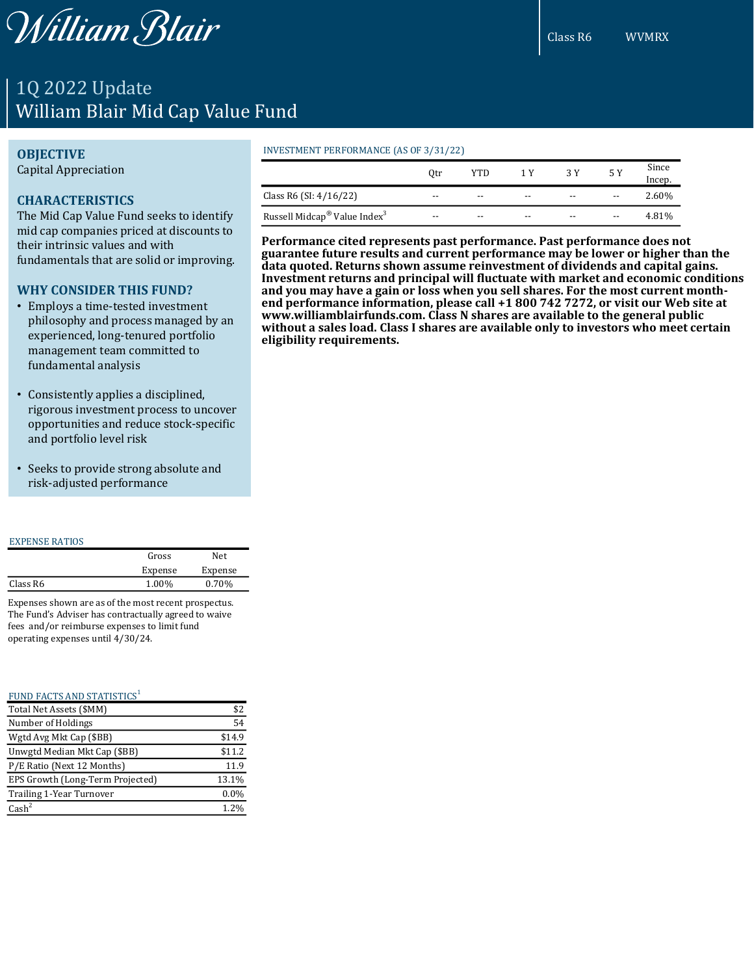William Blair

# 1Q 2022 Update William Blair Mid Cap Value Fund

## **OBJECTIVE**

Capital Appreciation

# **CHARACTERISTICS**

The Mid Cap Value Fund seeks to identify mid cap companies priced at discounts to their intrinsic values and with fundamentals that are solid or improving.

# **WHY CONSIDER THIS FUND?**

- Employs a time-tested investment philosophy and process managed by an experienced, long-tenured portfolio management team committed to fundamental analysis
- Consistently applies a disciplined, rigorous investment process to uncover opportunities and reduce stock-specific and portfolio level risk
- Seeks to provide strong absolute and risk-adjusted performance

#### EXPENSE RATIOS

|          | Gross   | Net.    |
|----------|---------|---------|
|          | Expense | Expense |
| Class R6 | 1.00%   | 0.70%   |
|          |         |         |

Expenses shown are as of the most recent prospectus. The Fund's Adviser has contractually agreed to waive fees and/or reimburse expenses to limit fund operating expenses until 4/30/24.

#### FUND FACTS AND STATISTICS<sup>1</sup>

| Total Net Assets (\$MM)          | \$2     |
|----------------------------------|---------|
| Number of Holdings               | 54      |
| Wgtd Avg Mkt Cap (\$BB)          | \$14.9  |
| Unwgtd Median Mkt Cap (\$BB)     | \$11.2  |
| P/E Ratio (Next 12 Months)       | 11.9    |
| EPS Growth (Long-Term Projected) | 13.1%   |
| Trailing 1-Year Turnover         | $0.0\%$ |
| $\text{Cash}^2$                  | 1.2%    |

#### INVESTMENT PERFORMANCE (AS OF 3/31/22)

|                                                      | )tr   | YTD   | 1 Y   | 3 Y   | 5 Y   | Since<br>Incep. |
|------------------------------------------------------|-------|-------|-------|-------|-------|-----------------|
| Class R6 (SI: $4/16/22$ )                            | $- -$ | $- -$ | $- -$ | $- -$ | $- -$ | 2.60%           |
| Russell Midcap <sup>®</sup> Value Index <sup>3</sup> | $- -$ | $- -$ | $- -$ | $- -$ | $- -$ | 4.81%           |

**Performance cited represents past performance. Past performance does not guarantee future results and current performance may be lower or higher than the data quoted. Returns shown assume reinvestment of dividends and capital gains. Investment returns and principal will fluctuate with market and economic conditions and you may have a gain or loss when you sell shares. For the most current monthend performance information, please call +1 800 742 7272, or visit our Web site at www.williamblairfunds.com. Class N shares are available to the general public without a sales load. Class I shares are available only to investors who meet certain eligibility requirements.**